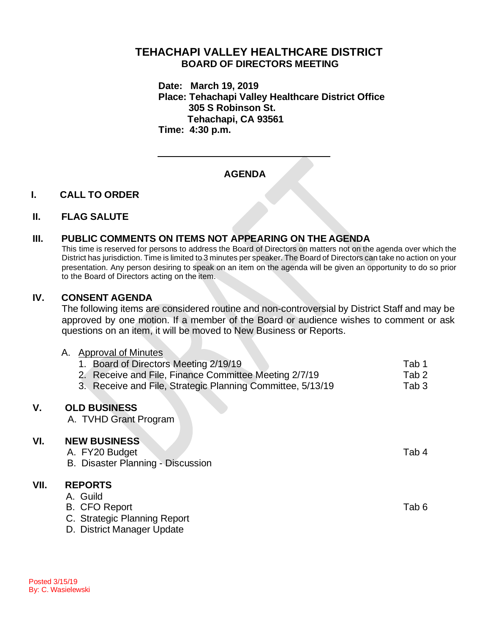# **TEHACHAPI VALLEY HEALTHCARE DISTRICT BOARD OF DIRECTORS MEETING**

**Date: March 19, 2019 Place: Tehachapi Valley Healthcare District Office 305 S Robinson St. Tehachapi, CA 93561 Time: 4:30 p.m.**

# **AGENDA**

### **I. CALL TO ORDER**

### **II. FLAG SALUTE**

## **III. PUBLIC COMMENTS ON ITEMS NOT APPEARING ON THE AGENDA**

This time is reserved for persons to address the Board of Directors on matters not on the agenda over which the District has jurisdiction. Time is limited to 3 minutes per speaker. The Board of Directors can take no action on your presentation. Any person desiring to speak on an item on the agenda will be given an opportunity to do so prior to the Board of Directors acting on the item.

## **IV. CONSENT AGENDA**

The following items are considered routine and non-controversial by District Staff and may be approved by one motion. If a member of the Board or audience wishes to comment or ask questions on an item, it will be moved to New Business or Reports.

|      | Approval of Minutes<br>А.<br>1. Board of Directors Meeting 2/19/19<br>2. Receive and File, Finance Committee Meeting 2/7/19<br>3. Receive and File, Strategic Planning Committee, 5/13/19 | Tab 1<br>Tab 2<br>Tab <sub>3</sub> |
|------|-------------------------------------------------------------------------------------------------------------------------------------------------------------------------------------------|------------------------------------|
| V.   | <b>OLD BUSINESS</b><br>A. TVHD Grant Program                                                                                                                                              |                                    |
| VI.  | <b>NEW BUSINESS</b><br>A. FY20 Budget<br>B. Disaster Planning - Discussion                                                                                                                | Tab 4                              |
| VII. | <b>REPORTS</b><br>A. Guild<br><b>B. CFO Report</b><br>C. Strategic Planning Report<br>D. District Manager Update                                                                          | Tab 6                              |

**VII.**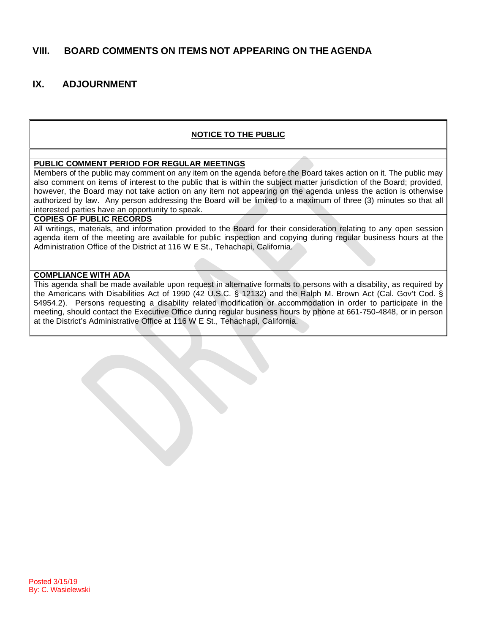## **VIII. BOARD COMMENTS ON ITEMS NOT APPEARING ON THE AGENDA**

## **IX. ADJOURNMENT**

### **NOTICE TO THE PUBLIC**

#### **PUBLIC COMMENT PERIOD FOR REGULAR MEETINGS**

Members of the public may comment on any item on the agenda before the Board takes action on it. The public may also comment on items of interest to the public that is within the subject matter jurisdiction of the Board; provided, however, the Board may not take action on any item not appearing on the agenda unless the action is otherwise authorized by law. Any person addressing the Board will be limited to a maximum of three (3) minutes so that all interested parties have an opportunity to speak.

#### **COPIES OF PUBLIC RECORDS**

All writings, materials, and information provided to the Board for their consideration relating to any open session agenda item of the meeting are available for public inspection and copying during regular business hours at the Administration Office of the District at 116 W E St., Tehachapi, California.

#### **COMPLIANCE WITH ADA**

This agenda shall be made available upon request in alternative formats to persons with a disability, as required by the Americans with Disabilities Act of 1990 (42 U.S.C. § 12132) and the Ralph M. Brown Act (Cal. Gov't Cod. § 54954.2). Persons requesting a disability related modification or accommodation in order to participate in the meeting, should contact the Executive Office during regular business hours by phone at 661-750-4848, or in person at the District's Administrative Office at 116 W E St., Tehachapi, California.